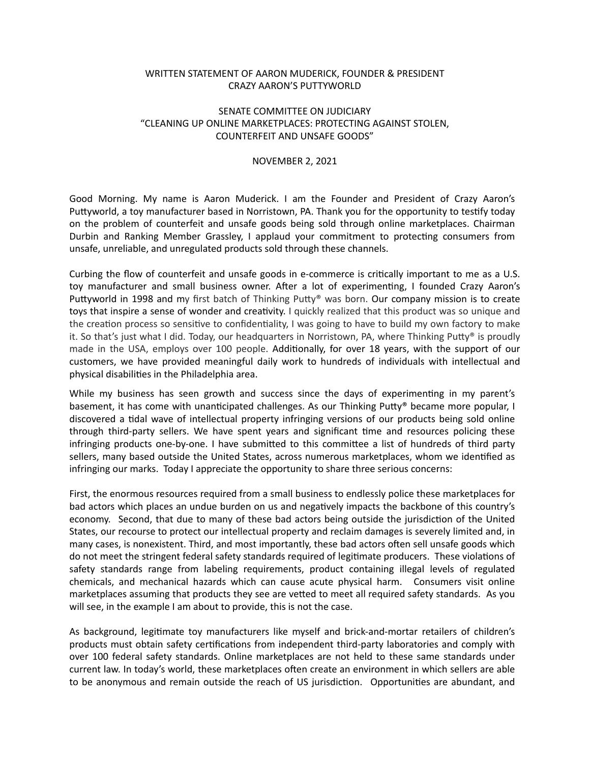## WRITTEN STATEMENT OF AARON MUDERICK, FOUNDER & PRESIDENT CRAZY AARON'S PUTTYWORLD

## SENATE COMMITTEE ON JUDICIARY "CLEANING UP ONLINE MARKETPLACES: PROTECTING AGAINST STOLEN, COUNTERFEIT AND UNSAFE GOODS"

## NOVEMBER 2, 2021

Good Morning. My name is Aaron Muderick. I am the Founder and President of Crazy Aaron's Puttyworld, a toy manufacturer based in Norristown, PA. Thank you for the opportunity to testify today on the problem of counterfeit and unsafe goods being sold through online marketplaces. Chairman Durbin and Ranking Member Grassley, I applaud your commitment to protecting consumers from unsafe, unreliable, and unregulated products sold through these channels.

Curbing the flow of counterfeit and unsafe goods in e-commerce is critically important to me as a U.S. toy manufacturer and small business owner. After a lot of experimenting, I founded Crazy Aaron's Puttyworld in 1998 and my first batch of Thinking Putty® was born. Our company mission is to create toys that inspire a sense of wonder and creativity. I quickly realized that this product was so unique and the creation process so sensitive to confidentiality, I was going to have to build my own factory to make it. So that's just what I did. Today, our headquarters in Norristown, PA, where Thinking Putty® is proudly made in the USA, employs over 100 people. Additionally, for over 18 years, with the support of our customers, we have provided meaningful daily work to hundreds of individuals with intellectual and physical disabilities in the Philadelphia area.

While my business has seen growth and success since the days of experimenting in my parent's basement, it has come with unanticipated challenges. As our Thinking Putty® became more popular, I discovered a tidal wave of intellectual property infringing versions of our products being sold online through third-party sellers. We have spent years and significant time and resources policing these infringing products one-by-one. I have submitted to this committee a list of hundreds of third party sellers, many based outside the United States, across numerous marketplaces, whom we identified as infringing our marks. Today I appreciate the opportunity to share three serious concerns:

First, the enormous resources required from a small business to endlessly police these marketplaces for bad actors which places an undue burden on us and negatively impacts the backbone of this country's economy. Second, that due to many of these bad actors being outside the jurisdiction of the United States, our recourse to protect our intellectual property and reclaim damages is severely limited and, in many cases, is nonexistent. Third, and most importantly, these bad actors often sell unsafe goods which do not meet the stringent federal safety standards required of legitimate producers. These violations of safety standards range from labeling requirements, product containing illegal levels of regulated chemicals, and mechanical hazards which can cause acute physical harm. Consumers visit online marketplaces assuming that products they see are vetted to meet all required safety standards. As you will see, in the example I am about to provide, this is not the case.

As background, legitimate toy manufacturers like myself and brick-and-mortar retailers of children's products must obtain safety certifications from independent third-party laboratories and comply with over 100 federal safety standards. Online marketplaces are not held to these same standards under current law. In today's world, these marketplaces often create an environment in which sellers are able to be anonymous and remain outside the reach of US jurisdiction. Opportunities are abundant, and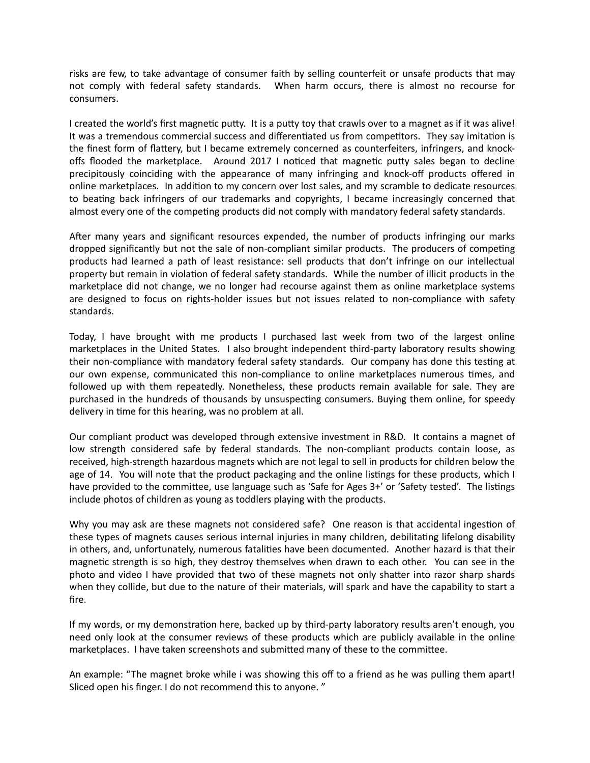risks are few, to take advantage of consumer faith by selling counterfeit or unsafe products that may not comply with federal safety standards. When harm occurs, there is almost no recourse for consumers.

I created the world's first magnetic putty. It is a putty toy that crawls over to a magnet as if it was alive! It was a tremendous commercial success and differentiated us from competitors. They say imitation is the finest form of flattery, but I became extremely concerned as counterfeiters, infringers, and knockoffs flooded the marketplace. Around 2017 I noticed that magnetic putty sales began to decline precipitously coinciding with the appearance of many infringing and knock-off products offered in online marketplaces. In addition to my concern over lost sales, and my scramble to dedicate resources to beating back infringers of our trademarks and copyrights, I became increasingly concerned that almost every one of the competing products did not comply with mandatory federal safety standards.

After many years and significant resources expended, the number of products infringing our marks dropped significantly but not the sale of non-compliant similar products. The producers of competing products had learned a path of least resistance: sell products that don't infringe on our intellectual property but remain in violation of federal safety standards. While the number of illicit products in the marketplace did not change, we no longer had recourse against them as online marketplace systems are designed to focus on rights-holder issues but not issues related to non-compliance with safety standards.

Today, I have brought with me products I purchased last week from two of the largest online marketplaces in the United States. I also brought independent third-party laboratory results showing their non-compliance with mandatory federal safety standards. Our company has done this testing at our own expense, communicated this non-compliance to online marketplaces numerous times, and followed up with them repeatedly. Nonetheless, these products remain available for sale. They are purchased in the hundreds of thousands by unsuspecting consumers. Buying them online, for speedy delivery in time for this hearing, was no problem at all.

Our compliant product was developed through extensive investment in R&D. It contains a magnet of low strength considered safe by federal standards. The non-compliant products contain loose, as received, high-strength hazardous magnets which are not legal to sell in products for children below the age of 14. You will note that the product packaging and the online listings for these products, which I have provided to the committee, use language such as 'Safe for Ages 3+' or 'Safety tested'. The listings include photos of children as young as toddlers playing with the products.

Why you may ask are these magnets not considered safe? One reason is that accidental ingestion of these types of magnets causes serious internal injuries in many children, debilitating lifelong disability in others, and, unfortunately, numerous fatalities have been documented. Another hazard is that their magnetic strength is so high, they destroy themselves when drawn to each other. You can see in the photo and video I have provided that two of these magnets not only shatter into razor sharp shards when they collide, but due to the nature of their materials, will spark and have the capability to start a fire.

If my words, or my demonstration here, backed up by third-party laboratory results aren't enough, you need only look at the consumer reviews of these products which are publicly available in the online marketplaces. I have taken screenshots and submitted many of these to the committee.

An example: "The magnet broke while i was showing this off to a friend as he was pulling them apart! Sliced open his finger. I do not recommend this to anyone. "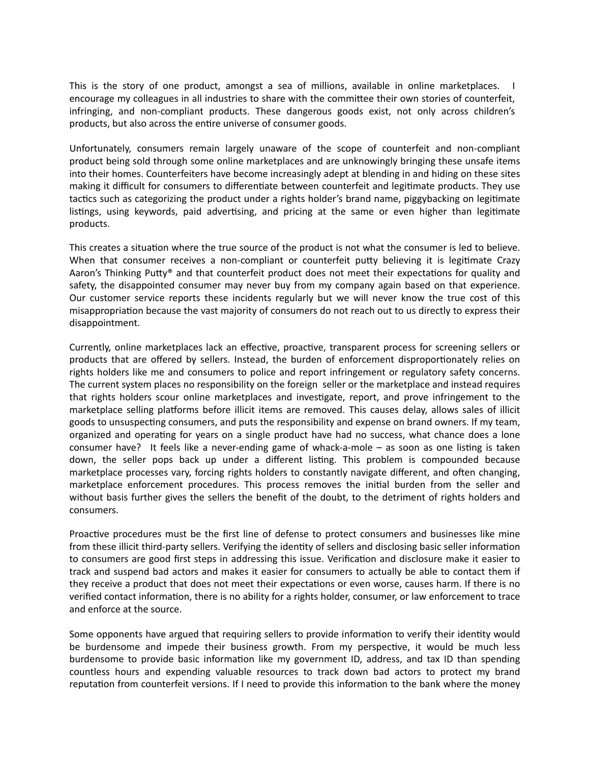This is the story of one product, amongst a sea of millions, available in online marketplaces. I encourage my colleagues in all industries to share with the committee their own stories of counterfeit, infringing, and non-compliant products. These dangerous goods exist, not only across children's products, but also across the entire universe of consumer goods.

Unfortunately, consumers remain largely unaware of the scope of counterfeit and non-compliant product being sold through some online marketplaces and are unknowingly bringing these unsafe items into their homes. Counterfeiters have become increasingly adept at blending in and hiding on these sites making it difficult for consumers to differentiate between counterfeit and legitimate products. They use tactics such as categorizing the product under a rights holder's brand name, piggybacking on legitimate listings, using keywords, paid advertising, and pricing at the same or even higher than legitimate products.

This creates a situation where the true source of the product is not what the consumer is led to believe. When that consumer receives a non-compliant or counterfeit putty believing it is legitimate Crazy Aaron's Thinking Putty® and that counterfeit product does not meet their expectations for quality and safety, the disappointed consumer may never buy from my company again based on that experience. Our customer service reports these incidents regularly but we will never know the true cost of this misappropriation because the vast majority of consumers do not reach out to us directly to express their disappointment.

Currently, online marketplaces lack an effective, proactive, transparent process for screening sellers or products that are offered by sellers. Instead, the burden of enforcement disproportionately relies on rights holders like me and consumers to police and report infringement or regulatory safety concerns. The current system places no responsibility on the foreign seller or the marketplace and instead requires that rights holders scour online marketplaces and investigate, report, and prove infringement to the marketplace selling platforms before illicit items are removed. This causes delay, allows sales of illicit goods to unsuspecting consumers, and puts the responsibility and expense on brand owners. If my team, organized and operating for years on a single product have had no success, what chance does a lone consumer have? It feels like a never-ending game of whack-a-mole – as soon as one listing is taken down, the seller pops back up under a different listing. This problem is compounded because marketplace processes vary, forcing rights holders to constantly navigate different, and often changing, marketplace enforcement procedures. This process removes the initial burden from the seller and without basis further gives the sellers the benefit of the doubt, to the detriment of rights holders and consumers.

Proactive procedures must be the first line of defense to protect consumers and businesses like mine from these illicit third-party sellers. Verifying the identity of sellers and disclosing basic seller information to consumers are good first steps in addressing this issue. Verification and disclosure make it easier to track and suspend bad actors and makes it easier for consumers to actually be able to contact them if they receive a product that does not meet their expectations or even worse, causes harm. If there is no verified contact information, there is no ability for a rights holder, consumer, or law enforcement to trace and enforce at the source.

Some opponents have argued that requiring sellers to provide information to verify their identity would be burdensome and impede their business growth. From my perspective, it would be much less burdensome to provide basic information like my government ID, address, and tax ID than spending countless hours and expending valuable resources to track down bad actors to protect my brand reputation from counterfeit versions. If I need to provide this information to the bank where the money